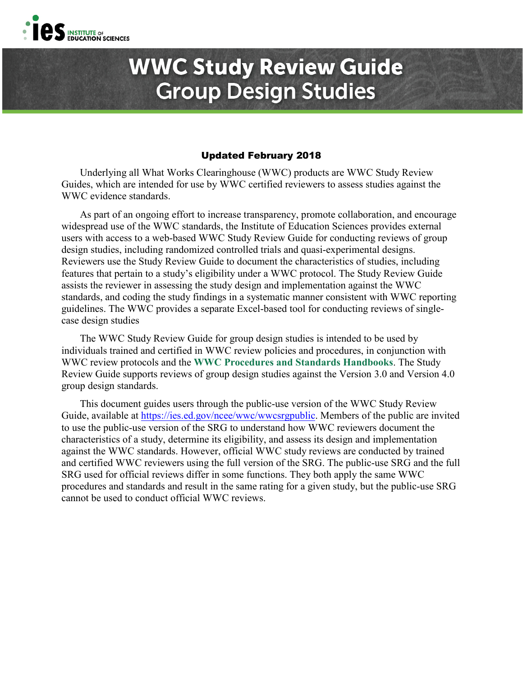

# **WWC Study Review Guide Group Design Studies**

#### Updated February 2018

Underlying all What Works Clearinghouse (WWC) products are WWC Study Review Guides, which are intended for use by WWC certified reviewers to assess studies against the WWC evidence standards.

As part of an ongoing effort to increase transparency, promote collaboration, and encourage widespread use of the WWC standards, the Institute of Education Sciences provides external users with access to a web-based WWC Study Review Guide for conducting reviews of group design studies, including randomized controlled trials and quasi-experimental designs. Reviewers use the Study Review Guide to document the characteristics of studies, including features that pertain to a study's eligibility under a WWC protocol. The Study Review Guide assists the reviewer in assessing the study design and implementation against the WWC standards, and coding the study findings in a systematic manner consistent with WWC reporting guidelines. The WWC provides a separate Excel-based tool for conducting reviews of singlecase design studies

The WWC Study Review Guide for group design studies is intended to be used by individuals trained and certified in WWC review policies and procedures, in conjunction with WWC review protocols and the **WWC Procedures and Standards Handbooks**. The Study Review Guide supports reviews of group design studies against the Version 3.0 and Version 4.0 group design standards.

This document guides users through the public-use version of the WWC Study Review Guide, available at https://ies.ed.gov/ncee/wwc/wwcsrgpublic. Members of the public are invited to use the public-use version of the SRG to understand how WWC reviewers document the characteristics of a study, determine its eligibility, and assess its design and implementation against the WWC standards. However, official WWC study reviews are conducted by trained and certified WWC reviewers using the full version of the SRG. The public-use SRG and the full SRG used for official reviews differ in some functions. They both apply the same WWC procedures and standards and result in the same rating for a given study, but the public-use SRG cannot be used to conduct official WWC reviews.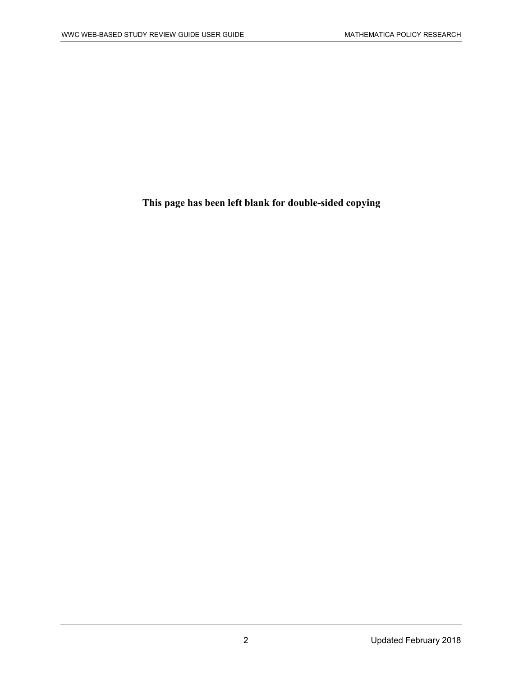**This page has been left blank for double-sided copying**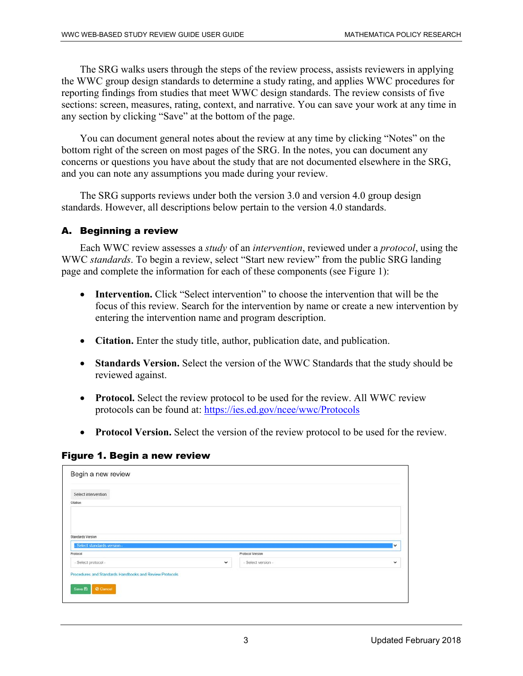The SRG walks users through the steps of the review process, assists reviewers in applying the WWC group design standards to determine a study rating, and applies WWC procedures for reporting findings from studies that meet WWC design standards. The review consists of five sections: screen, measures, rating, context, and narrative. You can save your work at any time in any section by clicking "Save" at the bottom of the page.

You can document general notes about the review at any time by clicking "Notes" on the bottom right of the screen on most pages of the SRG. In the notes, you can document any concerns or questions you have about the study that are not documented elsewhere in the SRG, and you can note any assumptions you made during your review.

The SRG supports reviews under both the version 3.0 and version 4.0 group design standards. However, all descriptions below pertain to the version 4.0 standards.

#### A. Beginning a review

Each WWC review assesses a *study* of an *intervention*, reviewed under a *protocol*, using the WWC *standards*. To begin a review, select "Start new review" from the public SRG landing page and complete the information for each of these components (see Figure 1):

- **Intervention.** Click "Select intervention" to choose the intervention that will be the focus of this review. Search for the intervention by name or create a new intervention by entering the intervention name and program description.
- **Citation.** Enter the study title, author, publication date, and publication.
- **Standards Version.** Select the version of the WWC Standards that the study should be reviewed against.
- **Protocol.** Select the review protocol to be used for the review. All WWC review protocols can be found at:<https://ies.ed.gov/ncee/wwc/Protocols>
- **Protocol Version.** Select the version of the review protocol to be used for the review.

#### Figure 1. Begin a new review

| Citation                     |                                   |              |
|------------------------------|-----------------------------------|--------------|
|                              |                                   |              |
|                              |                                   |              |
|                              |                                   |              |
|                              |                                   |              |
| Standards Version            |                                   |              |
| - Select standards version - |                                   | v.           |
| Protocol                     | <b>Protocol Version</b>           |              |
| - Select protocol -          | - Select version -<br>$\check{ }$ | $\checkmark$ |
|                              |                                   |              |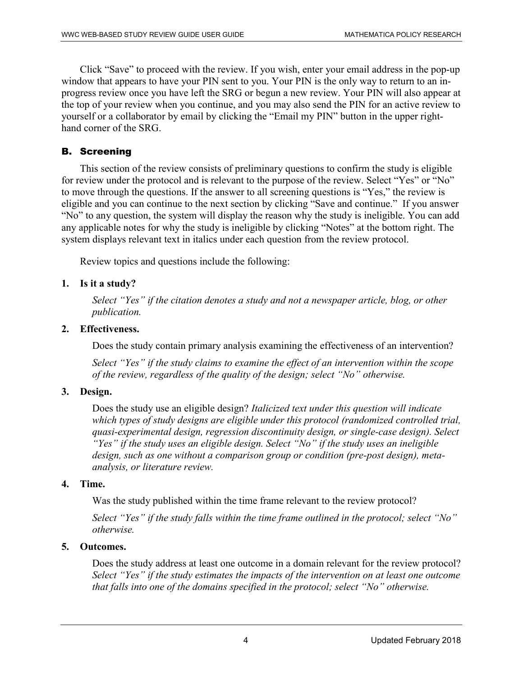Click "Save" to proceed with the review. If you wish, enter your email address in the pop-up window that appears to have your PIN sent to you. Your PIN is the only way to return to an inprogress review once you have left the SRG or begun a new review. Your PIN will also appear at the top of your review when you continue, and you may also send the PIN for an active review to yourself or a collaborator by email by clicking the "Email my PIN" button in the upper righthand corner of the SRG.

# B. Screening

This section of the review consists of preliminary questions to confirm the study is eligible for review under the protocol and is relevant to the purpose of the review. Select "Yes" or "No" to move through the questions. If the answer to all screening questions is "Yes," the review is eligible and you can continue to the next section by clicking "Save and continue." If you answer "No" to any question, the system will display the reason why the study is ineligible. You can add any applicable notes for why the study is ineligible by clicking "Notes" at the bottom right. The system displays relevant text in italics under each question from the review protocol.

Review topics and questions include the following:

# **1. Is it a study?**

*Select "Yes" if the citation denotes a study and not a newspaper article, blog, or other publication.* 

# **2. Effectiveness.**

Does the study contain primary analysis examining the effectiveness of an intervention?

*Select "Yes" if the study claims to examine the effect of an intervention within the scope of the review, regardless of the quality of the design; select "No" otherwise.* 

# **3. Design.**

Does the study use an eligible design? *Italicized text under this question will indicate which types of study designs are eligible under this protocol (randomized controlled trial, quasi-experimental design, regression discontinuity design, or single-case design). Select "Yes" if the study uses an eligible design. Select "No" if the study uses an ineligible design, such as one without a comparison group or condition (pre-post design), metaanalysis, or literature review.*

## **4. Time.**

Was the study published within the time frame relevant to the review protocol?

*Select "Yes" if the study falls within the time frame outlined in the protocol; select "No" otherwise.*

# **5. Outcomes.**

Does the study address at least one outcome in a domain relevant for the review protocol? *Select "Yes" if the study estimates the impacts of the intervention on at least one outcome that falls into one of the domains specified in the protocol; select "No" otherwise.*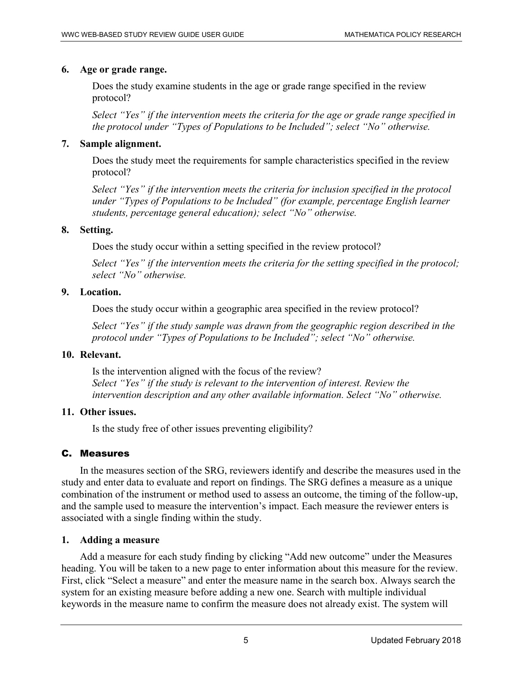## **6. Age or grade range.**

Does the study examine students in the age or grade range specified in the review protocol?

*Select "Yes" if the intervention meets the criteria for the age or grade range specified in the protocol under "Types of Populations to be Included"; select "No" otherwise.*

# **7. Sample alignment.**

Does the study meet the requirements for sample characteristics specified in the review protocol?

*Select "Yes" if the intervention meets the criteria for inclusion specified in the protocol under "Types of Populations to be Included" (for example, percentage English learner students, percentage general education); select "No" otherwise.*

## **8. Setting.**

Does the study occur within a setting specified in the review protocol?

*Select "Yes" if the intervention meets the criteria for the setting specified in the protocol; select "No" otherwise.* 

# **9. Location.**

Does the study occur within a geographic area specified in the review protocol?

*Select "Yes" if the study sample was drawn from the geographic region described in the protocol under "Types of Populations to be Included"; select "No" otherwise.*

## **10. Relevant.**

Is the intervention aligned with the focus of the review? *Select "Yes" if the study is relevant to the intervention of interest. Review the intervention description and any other available information. Select "No" otherwise.*

# **11. Other issues.**

Is the study free of other issues preventing eligibility?

# C. Measures

In the measures section of the SRG, reviewers identify and describe the measures used in the study and enter data to evaluate and report on findings. The SRG defines a measure as a unique combination of the instrument or method used to assess an outcome, the timing of the follow-up, and the sample used to measure the intervention's impact. Each measure the reviewer enters is associated with a single finding within the study.

# **1. Adding a measure**

Add a measure for each study finding by clicking "Add new outcome" under the Measures heading. You will be taken to a new page to enter information about this measure for the review. First, click "Select a measure" and enter the measure name in the search box. Always search the system for an existing measure before adding a new one. Search with multiple individual keywords in the measure name to confirm the measure does not already exist. The system will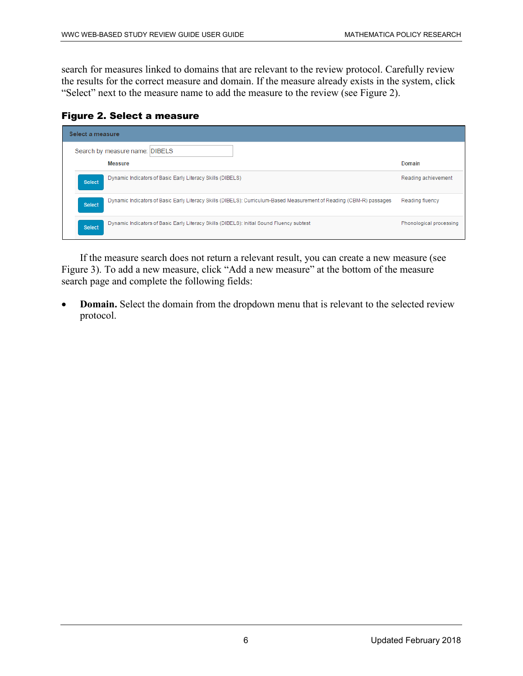search for measures linked to domains that are relevant to the review protocol. Carefully review the results for the correct measure and domain. If the measure already exists in the system, click "Select" next to the measure name to add the measure to the review (see Figure 2).

Figure 2. Select a measure

| Select a measure |                                                                                           |                                                                                                                      |                         |
|------------------|-------------------------------------------------------------------------------------------|----------------------------------------------------------------------------------------------------------------------|-------------------------|
|                  | Search by measure name: DIBELS                                                            |                                                                                                                      |                         |
|                  | <b>Measure</b>                                                                            |                                                                                                                      | Domain                  |
| <b>Select</b>    | Dynamic Indicators of Basic Early Literacy Skills (DIBELS)                                |                                                                                                                      | Reading achievement     |
| <b>Select</b>    |                                                                                           | Dynamic Indicators of Basic Early Literacy Skills (DIBELS): Curriculum-Based Measurement of Reading (CBM-R) passages | Reading fluency         |
| <b>Select</b>    | Dynamic Indicators of Basic Early Literacy Skills (DIBELS); Initial Sound Fluency subtest |                                                                                                                      | Phonological processing |

If the measure search does not return a relevant result, you can create a new measure (see Figure 3). To add a new measure, click "Add a new measure" at the bottom of the measure search page and complete the following fields:

• **Domain.** Select the domain from the dropdown menu that is relevant to the selected review protocol.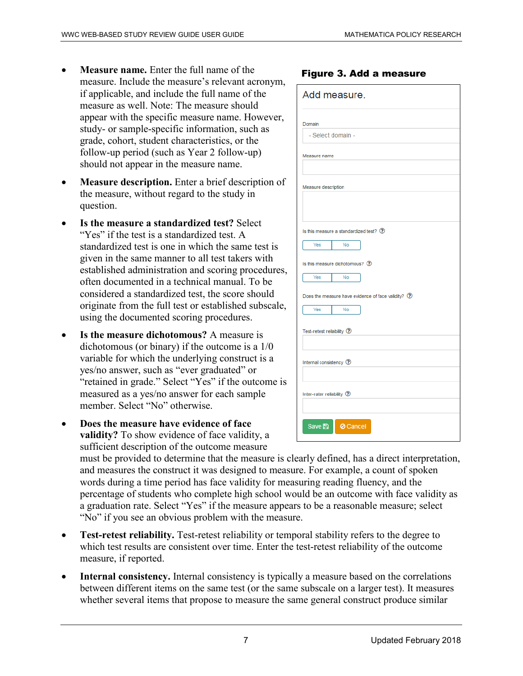- **Measure name.** Enter the full name of the measure. Include the measure's relevant acronym, if applicable, and include the full name of the measure as well. Note: The measure should appear with the specific measure name. However, study- or sample-specific information, such as grade, cohort, student characteristics, or the follow-up period (such as Year 2 follow-up) should not appear in the measure name.
- **Measure description.** Enter a brief description of the measure, without regard to the study in question.
- **Is the measure a standardized test?** Select "Yes" if the test is a standardized test. A standardized test is one in which the same test is given in the same manner to all test takers with established administration and scoring procedures, often documented in a technical manual. To be considered a standardized test, the score should originate from the full test or established subscale, using the documented scoring procedures.
- **Is the measure dichotomous?** A measure is dichotomous (or binary) if the outcome is a 1/0 variable for which the underlying construct is a yes/no answer, such as "ever graduated" or "retained in grade." Select "Yes" if the outcome is measured as a yes/no answer for each sample member. Select "No" otherwise.
- **Does the measure have evidence of face validity?** To show evidence of face validity, a sufficient description of the outcome measure

Domain - Select domain -Measure name Measure description Is this measure a standardized test? ? Yes **No** Is this measure dichotomous? ?

Yes No

Does the measure have evidence of face validity? (?)

Yes No Test-retest reliability <sup>(?)</sup> Internal consistency <sup>7</sup> Inter-rater reliability <sup>7</sup> Save **图 Ø** Cancel

must be provided to determine that the measure is clearly defined, has a direct interpretation, and measures the construct it was designed to measure. For example, a count of spoken words during a time period has face validity for measuring reading fluency, and the percentage of students who complete high school would be an outcome with face validity as a graduation rate. Select "Yes" if the measure appears to be a reasonable measure; select "No" if you see an obvious problem with the measure.

- **Test-retest reliability.** Test-retest reliability or temporal stability refers to the degree to which test results are consistent over time. Enter the test-retest reliability of the outcome measure, if reported.
- **Internal consistency.** Internal consistency is typically a measure based on the correlations between different items on the same test (or the same subscale on a larger test). It measures whether several items that propose to measure the same general construct produce similar

Figure 3. Add a measure

Add measure.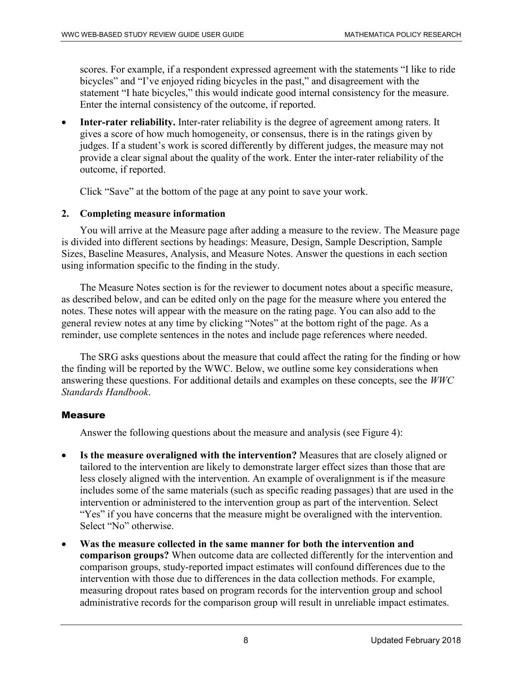scores. For example, if a respondent expressed agreement with the statements "I like to ride bicycles" and "I've enjoyed riding bicycles in the past," and disagreement with the statement "I hate bicycles," this would indicate good internal consistency for the measure. Enter the internal consistency of the outcome, if reported.

• **Inter-rater reliability.** Inter-rater reliability is the degree of agreement among raters. It gives a score of how much homogeneity, or consensus, there is in the ratings given by judges. If a student's work is scored differently by different judges, the measure may not provide a clear signal about the quality of the work. Enter the inter-rater reliability of the outcome, if reported.

Click "Save" at the bottom of the page at any point to save your work.

# **2. Completing measure information**

You will arrive at the Measure page after adding a measure to the review. The Measure page is divided into different sections by headings: Measure, Design, Sample Description, Sample Sizes, Baseline Measures, Analysis, and Measure Notes. Answer the questions in each section using information specific to the finding in the study.

The Measure Notes section is for the reviewer to document notes about a specific measure, as described below, and can be edited only on the page for the measure where you entered the notes. These notes will appear with the measure on the rating page. You can also add to the general review notes at any time by clicking "Notes" at the bottom right of the page. As a reminder, use complete sentences in the notes and include page references where needed.

The SRG asks questions about the measure that could affect the rating for the finding or how the finding will be reported by the WWC. Below, we outline some key considerations when answering these questions. For additional details and examples on these concepts, see the *WWC Standards Handbook*.

# Measure

Answer the following questions about the measure and analysis (see Figure 4):

- **Is the measure overaligned with the intervention?** Measures that are closely aligned or tailored to the intervention are likely to demonstrate larger effect sizes than those that are less closely aligned with the intervention. An example of overalignment is if the measure includes some of the same materials (such as specific reading passages) that are used in the intervention or administered to the intervention group as part of the intervention. Select "Yes" if you have concerns that the measure might be overaligned with the intervention. Select "No" otherwise.
- **Was the measure collected in the same manner for both the intervention and comparison groups?** When outcome data are collected differently for the intervention and comparison groups, study-reported impact estimates will confound differences due to the intervention with those due to differences in the data collection methods. For example, measuring dropout rates based on program records for the intervention group and school administrative records for the comparison group will result in unreliable impact estimates.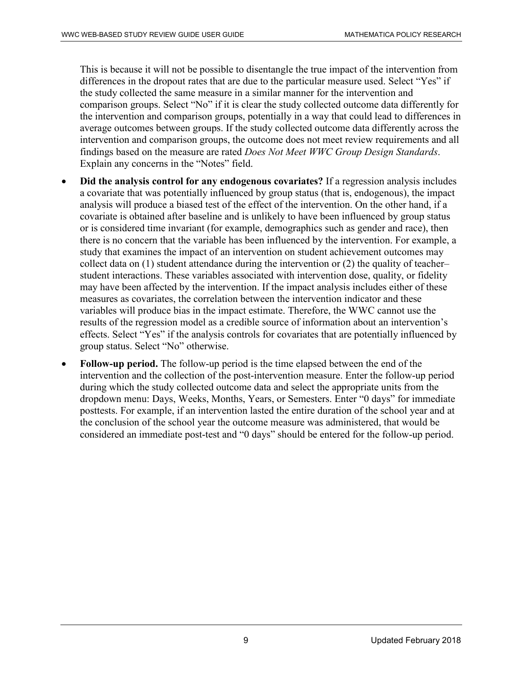This is because it will not be possible to disentangle the true impact of the intervention from differences in the dropout rates that are due to the particular measure used. Select "Yes" if the study collected the same measure in a similar manner for the intervention and comparison groups. Select "No" if it is clear the study collected outcome data differently for the intervention and comparison groups, potentially in a way that could lead to differences in average outcomes between groups. If the study collected outcome data differently across the intervention and comparison groups, the outcome does not meet review requirements and all findings based on the measure are rated *Does Not Meet WWC Group Design Standards*. Explain any concerns in the "Notes" field.

- **Did the analysis control for any endogenous covariates?** If a regression analysis includes a covariate that was potentially influenced by group status (that is, endogenous), the impact analysis will produce a biased test of the effect of the intervention. On the other hand, if a covariate is obtained after baseline and is unlikely to have been influenced by group status or is considered time invariant (for example, demographics such as gender and race), then there is no concern that the variable has been influenced by the intervention. For example, a study that examines the impact of an intervention on student achievement outcomes may collect data on  $(1)$  student attendance during the intervention or  $(2)$  the quality of teacher– student interactions. These variables associated with intervention dose, quality, or fidelity may have been affected by the intervention. If the impact analysis includes either of these measures as covariates, the correlation between the intervention indicator and these variables will produce bias in the impact estimate. Therefore, the WWC cannot use the results of the regression model as a credible source of information about an intervention's effects. Select "Yes" if the analysis controls for covariates that are potentially influenced by group status. Select "No" otherwise.
- **Follow-up period.** The follow-up period is the time elapsed between the end of the intervention and the collection of the post-intervention measure. Enter the follow-up period during which the study collected outcome data and select the appropriate units from the dropdown menu: Days, Weeks, Months, Years, or Semesters. Enter "0 days" for immediate posttests. For example, if an intervention lasted the entire duration of the school year and at the conclusion of the school year the outcome measure was administered, that would be considered an immediate post-test and "0 days" should be entered for the follow-up period.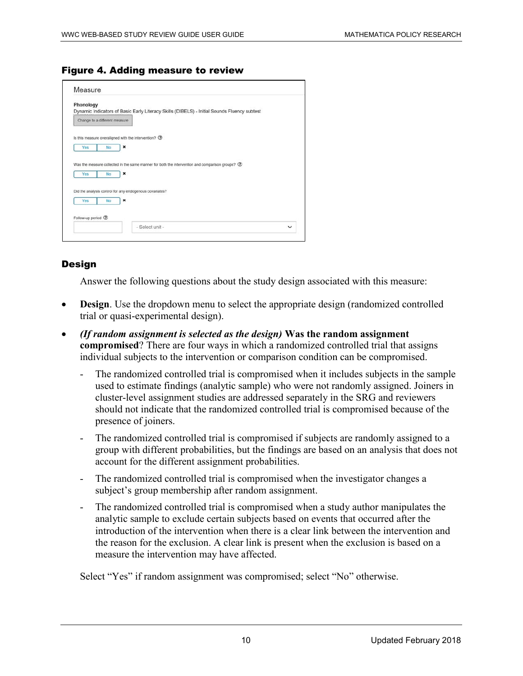Figure 4. Adding measure to review

| Phonology                       |                               |                |                                                         | Dynamic Indicators of Basic Early Literacy Skills (DIBELS) - Initial Sounds Fluency subtest                 |  |  |
|---------------------------------|-------------------------------|----------------|---------------------------------------------------------|-------------------------------------------------------------------------------------------------------------|--|--|
|                                 | Change to a different measure |                |                                                         |                                                                                                             |  |  |
|                                 |                               |                |                                                         |                                                                                                             |  |  |
|                                 |                               |                | Is this measure overaligned with the intervention? 3    |                                                                                                             |  |  |
| Yes                             | No <sup>1</sup>               | $\pmb{\times}$ |                                                         |                                                                                                             |  |  |
|                                 |                               |                |                                                         |                                                                                                             |  |  |
|                                 |                               |                |                                                         | Was the measure collected in the same manner for both the intervention and comparison groups? $\circled{2}$ |  |  |
|                                 |                               |                |                                                         |                                                                                                             |  |  |
| Yes                             | No <sup>1</sup>               | ×              |                                                         |                                                                                                             |  |  |
|                                 |                               |                |                                                         |                                                                                                             |  |  |
|                                 |                               |                | Did the analysis control for any endogenous covariates? |                                                                                                             |  |  |
| Yes                             | <b>No</b>                     | ×              |                                                         |                                                                                                             |  |  |
|                                 |                               |                |                                                         |                                                                                                             |  |  |
| Follow-up period <sup>(2)</sup> |                               |                |                                                         |                                                                                                             |  |  |

# **Design**

Answer the following questions about the study design associated with this measure:

- **Design.** Use the dropdown menu to select the appropriate design (randomized controlled trial or quasi-experimental design).
- *(If random assignment is selected as the design)* **Was the random assignment compromised**? There are four ways in which a randomized controlled trial that assigns individual subjects to the intervention or comparison condition can be compromised.
	- The randomized controlled trial is compromised when it includes subjects in the sample used to estimate findings (analytic sample) who were not randomly assigned. Joiners in cluster-level assignment studies are addressed separately in the SRG and reviewers should not indicate that the randomized controlled trial is compromised because of the presence of joiners.
	- The randomized controlled trial is compromised if subjects are randomly assigned to a group with different probabilities, but the findings are based on an analysis that does not account for the different assignment probabilities.
	- The randomized controlled trial is compromised when the investigator changes a subject's group membership after random assignment.
	- The randomized controlled trial is compromised when a study author manipulates the analytic sample to exclude certain subjects based on events that occurred after the introduction of the intervention when there is a clear link between the intervention and the reason for the exclusion. A clear link is present when the exclusion is based on a measure the intervention may have affected.

Select "Yes" if random assignment was compromised; select "No" otherwise.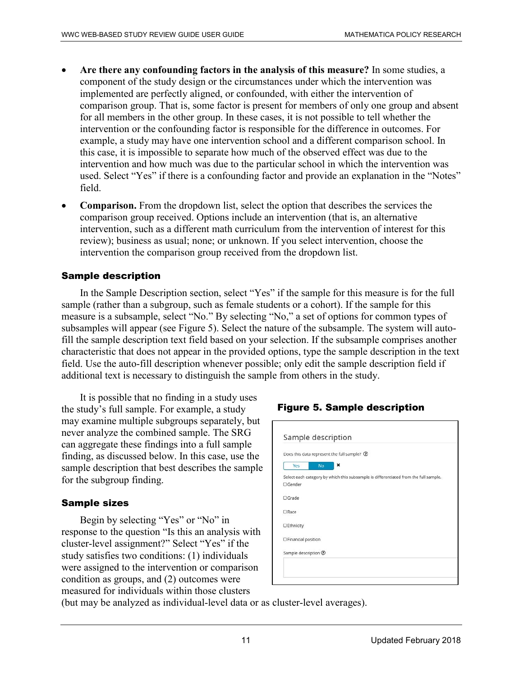- **Are there any confounding factors in the analysis of this measure?** In some studies, a component of the study design or the circumstances under which the intervention was implemented are perfectly aligned, or confounded, with either the intervention of comparison group. That is, some factor is present for members of only one group and absent for all members in the other group. In these cases, it is not possible to tell whether the intervention or the confounding factor is responsible for the difference in outcomes. For example, a study may have one intervention school and a different comparison school. In this case, it is impossible to separate how much of the observed effect was due to the intervention and how much was due to the particular school in which the intervention was used. Select "Yes" if there is a confounding factor and provide an explanation in the "Notes" field.
- **Comparison.** From the dropdown list, select the option that describes the services the comparison group received. Options include an intervention (that is, an alternative intervention, such as a different math curriculum from the intervention of interest for this review); business as usual; none; or unknown. If you select intervention, choose the intervention the comparison group received from the dropdown list.

## Sample description

In the Sample Description section, select "Yes" if the sample for this measure is for the full sample (rather than a subgroup, such as female students or a cohort). If the sample for this measure is a subsample, select "No." By selecting "No," a set of options for common types of subsamples will appear (see Figure 5). Select the nature of the subsample. The system will autofill the sample description text field based on your selection. If the subsample comprises another characteristic that does not appear in the provided options, type the sample description in the text field. Use the auto-fill description whenever possible; only edit the sample description field if additional text is necessary to distinguish the sample from others in the study.

It is possible that no finding in a study uses the study's full sample. For example, a study may examine multiple subgroups separately, but never analyze the combined sample. The SRG can aggregate these findings into a full sample finding, as discussed below. In this case, use the sample description that best describes the sample for the subgroup finding.

## Sample sizes

Begin by selecting "Yes" or "No" in response to the question "Is this an analysis with cluster-level assignment?" Select "Yes" if the study satisfies two conditions: (1) individuals were assigned to the intervention or comparison condition as groups, and (2) outcomes were measured for individuals within those clusters



|                      |    | Does this data represent the full sample? <sup>®</sup>                               |
|----------------------|----|--------------------------------------------------------------------------------------|
| Yes                  | No | $\boldsymbol{\mathsf{x}}$                                                            |
| <b>OGender</b>       |    | Select each category by which this subsample is differentiated from the full sample. |
| □Grade               |    |                                                                                      |
| □Race                |    |                                                                                      |
| <b>OEthnicity</b>    |    |                                                                                      |
| OFinancial position  |    |                                                                                      |
| Sample description 2 |    |                                                                                      |

(but may be analyzed as individual-level data or as cluster-level averages).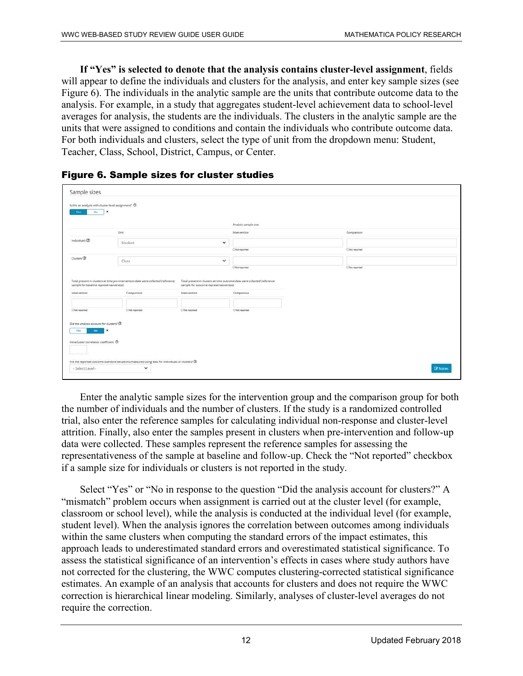**If "Yes" is selected to denote that the analysis contains cluster-level assignment**, fields will appear to define the individuals and clusters for the analysis, and enter key sample sizes (see Figure 6). The individuals in the analytic sample are the units that contribute outcome data to the analysis. For example, in a study that aggregates student-level achievement data to school-level averages for analysis, the students are the individuals. The clusters in the analytic sample are the units that were assigned to conditions and contain the individuals who contribute outcome data. For both individuals and clusters, select the type of unit from the dropdown menu: Student, Teacher, Class, School, District, Campus, or Center.

| Sample sizes                                                                                     |                                                                                                   |                                                        |                                                                                        |                |
|--------------------------------------------------------------------------------------------------|---------------------------------------------------------------------------------------------------|--------------------------------------------------------|----------------------------------------------------------------------------------------|----------------|
| Is this an analysis with cluster level assignment? ®<br>No.<br>Yes                               | $\boldsymbol{\mathsf{x}}$                                                                         |                                                        | Analytic sample size                                                                   |                |
|                                                                                                  | Unit                                                                                              |                                                        | Intervention                                                                           | Comparison     |
| Individuals <sup>®</sup>                                                                         | Student                                                                                           | $\checkmark$                                           |                                                                                        |                |
|                                                                                                  |                                                                                                   |                                                        | Check reported                                                                         | C Not reported |
| Clusters <sup>®</sup>                                                                            | Class                                                                                             | $\check{ }$                                            |                                                                                        |                |
| sample for baseline representativeness)<br>Intervention                                          | Total present in clusters at time pre-intervention data were collected (reference<br>Comparison   | sample for outcome representativeness)<br>Intervention | Total present in clusters at time outcome data were collected (reference<br>Comparison |                |
| <b>Cities reported</b>                                                                           | CiNot reported                                                                                    | <b>Cilviot</b> reported                                | Chiot reported                                                                         |                |
| Did the analysis account for clusters? ®<br>No.<br>Yes:<br>Intraduster correlation coefficient ® | $\mathbf{\mathbf{x}}$                                                                             |                                                        |                                                                                        |                |
|                                                                                                  | Are the reported outcome standard deviations measured using data for individuals or clusters? (D) |                                                        |                                                                                        |                |
| - Select Level -                                                                                 | $\checkmark$                                                                                      |                                                        |                                                                                        | <b>E</b> Notes |

# Figure 6. Sample sizes for cluster studies

Enter the analytic sample sizes for the intervention group and the comparison group for both the number of individuals and the number of clusters. If the study is a randomized controlled trial, also enter the reference samples for calculating individual non-response and cluster-level attrition. Finally, also enter the samples present in clusters when pre-intervention and follow-up data were collected. These samples represent the reference samples for assessing the representativeness of the sample at baseline and follow-up. Check the "Not reported" checkbox if a sample size for individuals or clusters is not reported in the study.

Select "Yes" or "No in response to the question "Did the analysis account for clusters?" A "mismatch" problem occurs when assignment is carried out at the cluster level (for example, classroom or school level), while the analysis is conducted at the individual level (for example, student level). When the analysis ignores the correlation between outcomes among individuals within the same clusters when computing the standard errors of the impact estimates, this approach leads to underestimated standard errors and overestimated statistical significance. To assess the statistical significance of an intervention's effects in cases where study authors have not corrected for the clustering, the WWC computes clustering-corrected statistical significance estimates. An example of an analysis that accounts for clusters and does not require the WWC correction is hierarchical linear modeling. Similarly, analyses of cluster-level averages do not require the correction.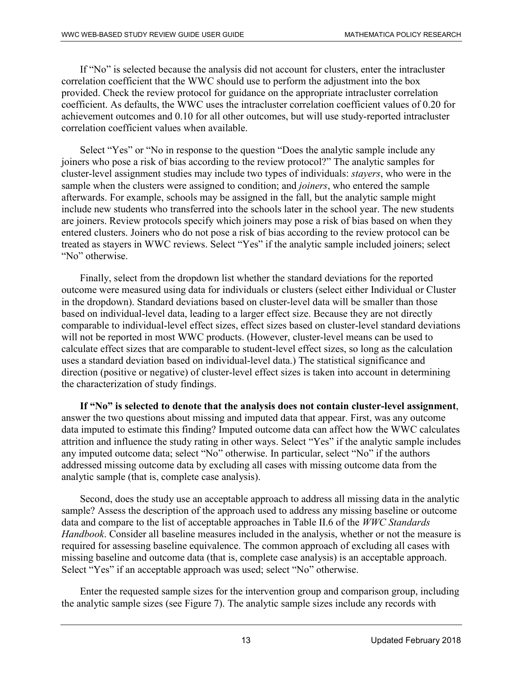If "No" is selected because the analysis did not account for clusters, enter the intracluster correlation coefficient that the WWC should use to perform the adjustment into the box provided. Check the review protocol for guidance on the appropriate intracluster correlation coefficient. As defaults, the WWC uses the intracluster correlation coefficient values of 0.20 for achievement outcomes and 0.10 for all other outcomes, but will use study-reported intracluster correlation coefficient values when available.

Select "Yes" or "No in response to the question "Does the analytic sample include any joiners who pose a risk of bias according to the review protocol?" The analytic samples for cluster-level assignment studies may include two types of individuals: *stayers*, who were in the sample when the clusters were assigned to condition; and *joiners*, who entered the sample afterwards. For example, schools may be assigned in the fall, but the analytic sample might include new students who transferred into the schools later in the school year. The new students are joiners. Review protocols specify which joiners may pose a risk of bias based on when they entered clusters. Joiners who do not pose a risk of bias according to the review protocol can be treated as stayers in WWC reviews. Select "Yes" if the analytic sample included joiners; select "No" otherwise.

Finally, select from the dropdown list whether the standard deviations for the reported outcome were measured using data for individuals or clusters (select either Individual or Cluster in the dropdown). Standard deviations based on cluster-level data will be smaller than those based on individual-level data, leading to a larger effect size. Because they are not directly comparable to individual-level effect sizes, effect sizes based on cluster-level standard deviations will not be reported in most WWC products. (However, cluster-level means can be used to calculate effect sizes that are comparable to student-level effect sizes, so long as the calculation uses a standard deviation based on individual-level data.) The statistical significance and direction (positive or negative) of cluster-level effect sizes is taken into account in determining the characterization of study findings.

**If "No" is selected to denote that the analysis does not contain cluster-level assignment**, answer the two questions about missing and imputed data that appear. First, was any outcome data imputed to estimate this finding? Imputed outcome data can affect how the WWC calculates attrition and influence the study rating in other ways. Select "Yes" if the analytic sample includes any imputed outcome data; select "No" otherwise. In particular, select "No" if the authors addressed missing outcome data by excluding all cases with missing outcome data from the analytic sample (that is, complete case analysis).

Second, does the study use an acceptable approach to address all missing data in the analytic sample? Assess the description of the approach used to address any missing baseline or outcome data and compare to the list of acceptable approaches in Table II.6 of the *WWC Standards Handbook*. Consider all baseline measures included in the analysis, whether or not the measure is required for assessing baseline equivalence. The common approach of excluding all cases with missing baseline and outcome data (that is, complete case analysis) is an acceptable approach. Select "Yes" if an acceptable approach was used; select "No" otherwise.

Enter the requested sample sizes for the intervention group and comparison group, including the analytic sample sizes (see Figure 7). The analytic sample sizes include any records with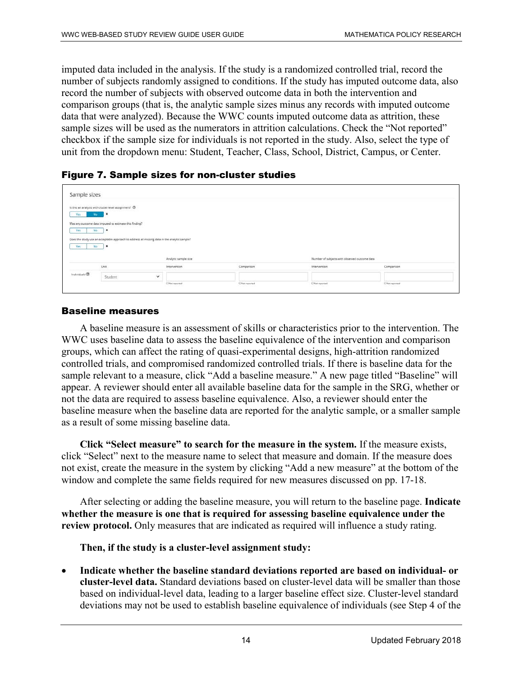imputed data included in the analysis. If the study is a randomized controlled trial, record the number of subjects randomly assigned to conditions. If the study has imputed outcome data, also record the number of subjects with observed outcome data in both the intervention and comparison groups (that is, the analytic sample sizes minus any records with imputed outcome data that were analyzed). Because the WWC counts imputed outcome data as attrition, these sample sizes will be used as the numerators in attrition calculations. Check the "Not reported" checkbox if the sample size for individuals is not reported in the study. Also, select the type of unit from the dropdown menu: Student, Teacher, Class, School, District, Campus, or Center.

|  |  | <b>Figure 7. Sample sizes for non-cluster studies</b> |  |
|--|--|-------------------------------------------------------|--|
|  |  |                                                       |  |

|                          | Sample sizes                                           |                                                                                               |            |                                               |            |
|--------------------------|--------------------------------------------------------|-----------------------------------------------------------------------------------------------|------------|-----------------------------------------------|------------|
|                          | Is this an analysis with cluster level assignment? ®   |                                                                                               |            |                                               |            |
| Yes<br>No.               | ×                                                      |                                                                                               |            |                                               |            |
|                          | Was any outcome data imputed to estimate this finding? |                                                                                               |            |                                               |            |
| Yes                      | No.<br>$\boldsymbol{\mathsf{x}}$                       |                                                                                               |            |                                               |            |
|                          |                                                        |                                                                                               |            |                                               |            |
|                          |                                                        | Does the study use an acceptable approach to address all missing data in the analytic sample? |            |                                               |            |
| Yes                      | $\pmb{\times}$<br>No.                                  |                                                                                               |            |                                               |            |
|                          |                                                        |                                                                                               |            |                                               |            |
|                          |                                                        | Analytic sample size                                                                          |            | Number of subjects with observed outcome data |            |
|                          | Unit                                                   | Intervention                                                                                  | Comparison | Intervention                                  | Comparison |
| Individuals <sup>2</sup> | Student                                                | $\check{ }$                                                                                   |            |                                               |            |

#### Baseline measures

A baseline measure is an assessment of skills or characteristics prior to the intervention. The WWC uses baseline data to assess the baseline equivalence of the intervention and comparison groups, which can affect the rating of quasi-experimental designs, high-attrition randomized controlled trials, and compromised randomized controlled trials. If there is baseline data for the sample relevant to a measure, click "Add a baseline measure." A new page titled "Baseline" will appear. A reviewer should enter all available baseline data for the sample in the SRG, whether or not the data are required to assess baseline equivalence. Also, a reviewer should enter the baseline measure when the baseline data are reported for the analytic sample, or a smaller sample as a result of some missing baseline data.

**Click "Select measure" to search for the measure in the system.** If the measure exists, click "Select" next to the measure name to select that measure and domain. If the measure does not exist, create the measure in the system by clicking "Add a new measure" at the bottom of the window and complete the same fields required for new measures discussed on pp. 17-18.

After selecting or adding the baseline measure, you will return to the baseline page. **Indicate whether the measure is one that is required for assessing baseline equivalence under the review protocol.** Only measures that are indicated as required will influence a study rating.

**Then, if the study is a cluster-level assignment study:** 

• **Indicate whether the baseline standard deviations reported are based on individual- or cluster-level data.** Standard deviations based on cluster-level data will be smaller than those based on individual-level data, leading to a larger baseline effect size. Cluster-level standard deviations may not be used to establish baseline equivalence of individuals (see Step 4 of the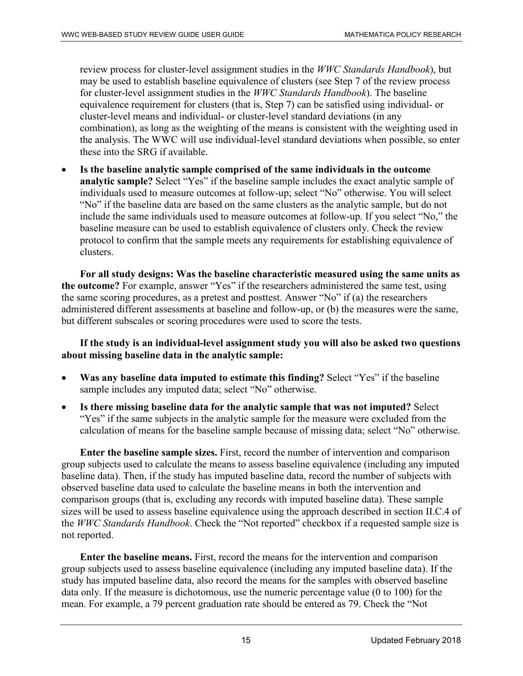review process for cluster-level assignment studies in the *WWC Standards Handbook*), but may be used to establish baseline equivalence of clusters (see Step 7 of the review process for cluster-level assignment studies in the *WWC Standards Handbook*). The baseline equivalence requirement for clusters (that is, Step 7) can be satisfied using individual- or cluster-level means and individual- or cluster-level standard deviations (in any combination), as long as the weighting of the means is consistent with the weighting used in the analysis. The WWC will use individual-level standard deviations when possible, so enter these into the SRG if available.

• **Is the baseline analytic sample comprised of the same individuals in the outcome analytic sample?** Select "Yes" if the baseline sample includes the exact analytic sample of individuals used to measure outcomes at follow-up; select "No" otherwise. You will select "No" if the baseline data are based on the same clusters as the analytic sample, but do not include the same individuals used to measure outcomes at follow-up. If you select "No," the baseline measure can be used to establish equivalence of clusters only. Check the review protocol to confirm that the sample meets any requirements for establishing equivalence of clusters.

**For all study designs: Was the baseline characteristic measured using the same units as the outcome?** For example, answer "Yes" if the researchers administered the same test, using the same scoring procedures, as a pretest and posttest. Answer "No" if (a) the researchers administered different assessments at baseline and follow-up, or (b) the measures were the same, but different subscales or scoring procedures were used to score the tests.

# **If the study is an individual-level assignment study you will also be asked two questions about missing baseline data in the analytic sample:**

- **Was any baseline data imputed to estimate this finding?** Select "Yes" if the baseline sample includes any imputed data; select "No" otherwise.
- **Is there missing baseline data for the analytic sample that was not imputed?** Select "Yes" if the same subjects in the analytic sample for the measure were excluded from the calculation of means for the baseline sample because of missing data; select "No" otherwise.

**Enter the baseline sample sizes.** First, record the number of intervention and comparison group subjects used to calculate the means to assess baseline equivalence (including any imputed baseline data). Then, if the study has imputed baseline data, record the number of subjects with observed baseline data used to calculate the baseline means in both the intervention and comparison groups (that is, excluding any records with imputed baseline data). These sample sizes will be used to assess baseline equivalence using the approach described in section II.C.4 of the *WWC Standards Handbook*. Check the "Not reported" checkbox if a requested sample size is not reported.

**Enter the baseline means.** First, record the means for the intervention and comparison group subjects used to assess baseline equivalence (including any imputed baseline data). If the study has imputed baseline data, also record the means for the samples with observed baseline data only. If the measure is dichotomous, use the numeric percentage value (0 to 100) for the mean. For example, a 79 percent graduation rate should be entered as 79. Check the "Not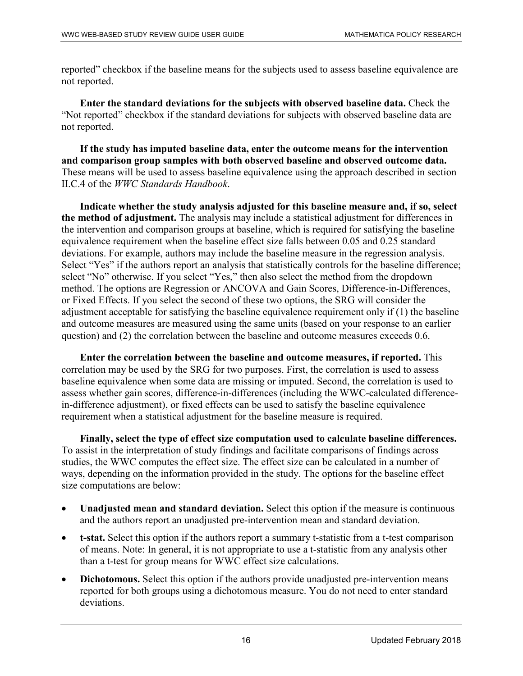reported" checkbox if the baseline means for the subjects used to assess baseline equivalence are not reported.

**Enter the standard deviations for the subjects with observed baseline data.** Check the "Not reported" checkbox if the standard deviations for subjects with observed baseline data are not reported.

**If the study has imputed baseline data, enter the outcome means for the intervention and comparison group samples with both observed baseline and observed outcome data.** These means will be used to assess baseline equivalence using the approach described in section II.C.4 of the *WWC Standards Handbook*.

**Indicate whether the study analysis adjusted for this baseline measure and, if so, select the method of adjustment.** The analysis may include a statistical adjustment for differences in the intervention and comparison groups at baseline, which is required for satisfying the baseline equivalence requirement when the baseline effect size falls between 0.05 and 0.25 standard deviations. For example, authors may include the baseline measure in the regression analysis. Select "Yes" if the authors report an analysis that statistically controls for the baseline difference; select "No" otherwise. If you select "Yes," then also select the method from the dropdown method. The options are Regression or ANCOVA and Gain Scores, Difference-in-Differences, or Fixed Effects. If you select the second of these two options, the SRG will consider the adjustment acceptable for satisfying the baseline equivalence requirement only if (1) the baseline and outcome measures are measured using the same units (based on your response to an earlier question) and (2) the correlation between the baseline and outcome measures exceeds 0.6.

**Enter the correlation between the baseline and outcome measures, if reported.** This correlation may be used by the SRG for two purposes. First, the correlation is used to assess baseline equivalence when some data are missing or imputed. Second, the correlation is used to assess whether gain scores, difference-in-differences (including the WWC-calculated differencein-difference adjustment), or fixed effects can be used to satisfy the baseline equivalence requirement when a statistical adjustment for the baseline measure is required.

**Finally, select the type of effect size computation used to calculate baseline differences.** To assist in the interpretation of study findings and facilitate comparisons of findings across studies, the WWC computes the effect size. The effect size can be calculated in a number of ways, depending on the information provided in the study. The options for the baseline effect size computations are below:

- **Unadjusted mean and standard deviation.** Select this option if the measure is continuous and the authors report an unadjusted pre-intervention mean and standard deviation.
- **t-stat.** Select this option if the authors report a summary t-statistic from a t-test comparison of means. Note: In general, it is not appropriate to use a t-statistic from any analysis other than a t-test for group means for WWC effect size calculations.
- **Dichotomous.** Select this option if the authors provide unadjusted pre-intervention means reported for both groups using a dichotomous measure. You do not need to enter standard deviations.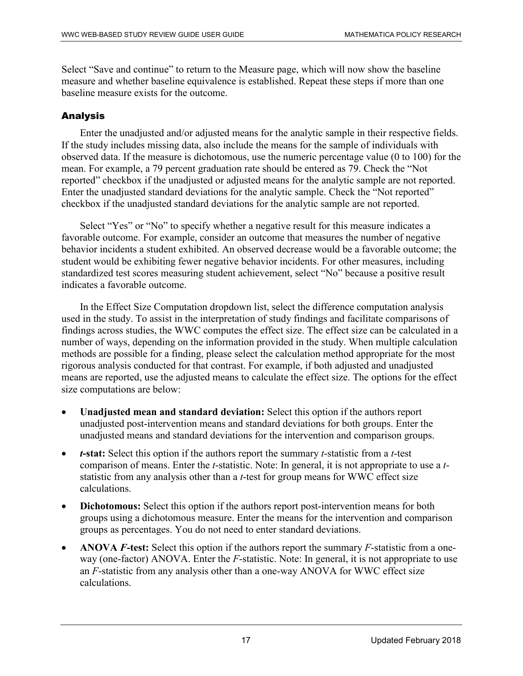Select "Save and continue" to return to the Measure page, which will now show the baseline measure and whether baseline equivalence is established. Repeat these steps if more than one baseline measure exists for the outcome.

## Analysis

Enter the unadjusted and/or adjusted means for the analytic sample in their respective fields. If the study includes missing data, also include the means for the sample of individuals with observed data. If the measure is dichotomous, use the numeric percentage value (0 to 100) for the mean. For example, a 79 percent graduation rate should be entered as 79. Check the "Not reported" checkbox if the unadjusted or adjusted means for the analytic sample are not reported. Enter the unadjusted standard deviations for the analytic sample. Check the "Not reported" checkbox if the unadjusted standard deviations for the analytic sample are not reported.

Select "Yes" or "No" to specify whether a negative result for this measure indicates a favorable outcome. For example, consider an outcome that measures the number of negative behavior incidents a student exhibited. An observed decrease would be a favorable outcome; the student would be exhibiting fewer negative behavior incidents. For other measures, including standardized test scores measuring student achievement, select "No" because a positive result indicates a favorable outcome.

In the Effect Size Computation dropdown list, select the difference computation analysis used in the study. To assist in the interpretation of study findings and facilitate comparisons of findings across studies, the WWC computes the effect size. The effect size can be calculated in a number of ways, depending on the information provided in the study. When multiple calculation methods are possible for a finding, please select the calculation method appropriate for the most rigorous analysis conducted for that contrast. For example, if both adjusted and unadjusted means are reported, use the adjusted means to calculate the effect size. The options for the effect size computations are below:

- **Unadjusted mean and standard deviation:** Select this option if the authors report unadjusted post-intervention means and standard deviations for both groups. Enter the unadjusted means and standard deviations for the intervention and comparison groups.
- *t***-stat:** Select this option if the authors report the summary *t*-statistic from a *t*-test comparison of means. Enter the *t*-statistic. Note: In general, it is not appropriate to use a *t*statistic from any analysis other than a *t*-test for group means for WWC effect size calculations.
- **Dichotomous:** Select this option if the authors report post-intervention means for both groups using a dichotomous measure. Enter the means for the intervention and comparison groups as percentages. You do not need to enter standard deviations.
- **ANOVA** *F***-test:** Select this option if the authors report the summary *F*-statistic from a oneway (one-factor) ANOVA. Enter the *F*-statistic. Note: In general, it is not appropriate to use an *F*-statistic from any analysis other than a one-way ANOVA for WWC effect size calculations.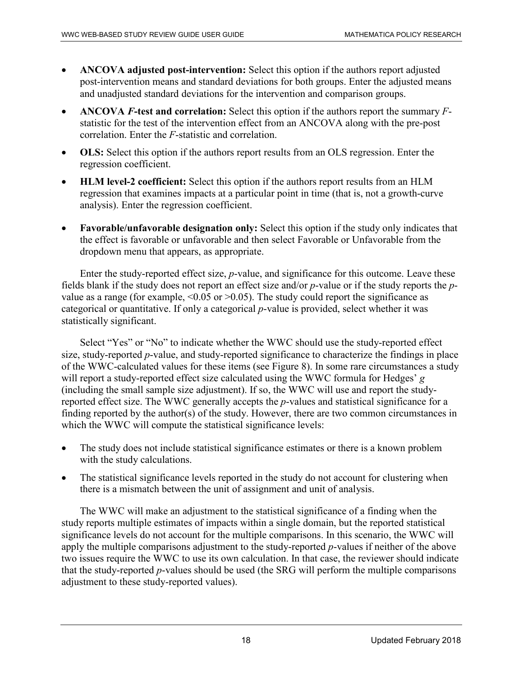- **ANCOVA adjusted post-intervention:** Select this option if the authors report adjusted post-intervention means and standard deviations for both groups. Enter the adjusted means and unadjusted standard deviations for the intervention and comparison groups.
- **ANCOVA** *F***-test and correlation:** Select this option if the authors report the summary *F*statistic for the test of the intervention effect from an ANCOVA along with the pre-post correlation. Enter the *F*-statistic and correlation.
- **OLS:** Select this option if the authors report results from an OLS regression. Enter the regression coefficient.
- **HLM level-2 coefficient:** Select this option if the authors report results from an HLM regression that examines impacts at a particular point in time (that is, not a growth-curve analysis). Enter the regression coefficient.
- **Favorable/unfavorable designation only:** Select this option if the study only indicates that the effect is favorable or unfavorable and then select Favorable or Unfavorable from the dropdown menu that appears, as appropriate.

Enter the study-reported effect size, *p*-value, and significance for this outcome. Leave these fields blank if the study does not report an effect size and/or *p*-value or if the study reports the *p*value as a range (for example,  $\leq 0.05$  or  $\geq 0.05$ ). The study could report the significance as categorical or quantitative. If only a categorical *p*-value is provided, select whether it was statistically significant.

Select "Yes" or "No" to indicate whether the WWC should use the study-reported effect size, study-reported *p*-value, and study-reported significance to characterize the findings in place of the WWC-calculated values for these items (see Figure 8). In some rare circumstances a study will report a study-reported effect size calculated using the WWC formula for Hedges' *g* (including the small sample size adjustment). If so, the WWC will use and report the studyreported effect size. The WWC generally accepts the *p*-values and statistical significance for a finding reported by the author(s) of the study. However, there are two common circumstances in which the WWC will compute the statistical significance levels:

- The study does not include statistical significance estimates or there is a known problem with the study calculations.
- The statistical significance levels reported in the study do not account for clustering when there is a mismatch between the unit of assignment and unit of analysis.

The WWC will make an adjustment to the statistical significance of a finding when the study reports multiple estimates of impacts within a single domain, but the reported statistical significance levels do not account for the multiple comparisons. In this scenario, the WWC will apply the multiple comparisons adjustment to the study-reported *p*-values if neither of the above two issues require the WWC to use its own calculation. In that case, the reviewer should indicate that the study-reported *p*-values should be used (the SRG will perform the multiple comparisons adjustment to these study-reported values).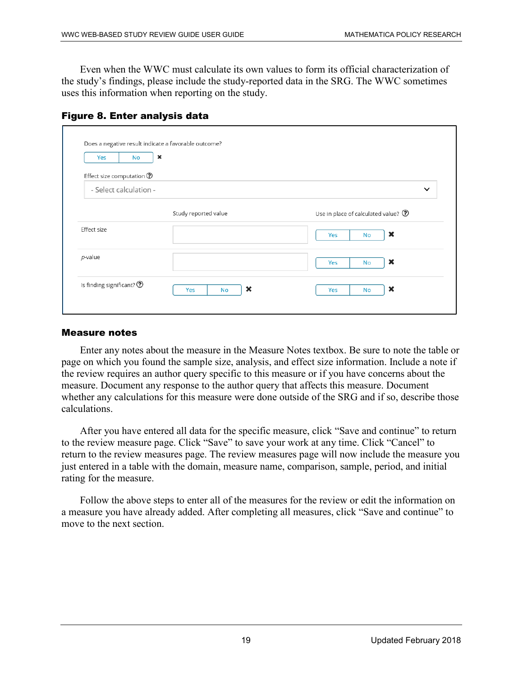Even when the WWC must calculate its own values to form its official characterization of the study's findings, please include the study-reported data in the SRG. The WWC sometimes uses this information when reporting on the study.

| $\boldsymbol{\mathsf{x}}$<br>Yes<br>No |                                    |                                               |
|----------------------------------------|------------------------------------|-----------------------------------------------|
| Effect size computation $\circledR$    |                                    |                                               |
| - Select calculation -                 |                                    | $\checkmark$                                  |
|                                        | Study reported value               | Use in place of calculated value? $\circledR$ |
| Effect size                            |                                    | $\boldsymbol{\mathsf{x}}$<br>No<br>Yes        |
| $p$ -value                             |                                    | $\boldsymbol{\mathsf{x}}$<br>No<br>Yes        |
| Is finding significant? $\circledR$    | $\pmb{\times}$<br>Yes<br><b>No</b> | $\boldsymbol{\mathsf{x}}$<br>Yes<br><b>No</b> |

#### Figure 8. Enter analysis data

#### Measure notes

Enter any notes about the measure in the Measure Notes textbox. Be sure to note the table or page on which you found the sample size, analysis, and effect size information. Include a note if the review requires an author query specific to this measure or if you have concerns about the measure. Document any response to the author query that affects this measure. Document whether any calculations for this measure were done outside of the SRG and if so, describe those calculations.

After you have entered all data for the specific measure, click "Save and continue" to return to the review measure page. Click "Save" to save your work at any time. Click "Cancel" to return to the review measures page. The review measures page will now include the measure you just entered in a table with the domain, measure name, comparison, sample, period, and initial rating for the measure.

Follow the above steps to enter all of the measures for the review or edit the information on a measure you have already added. After completing all measures, click "Save and continue" to move to the next section.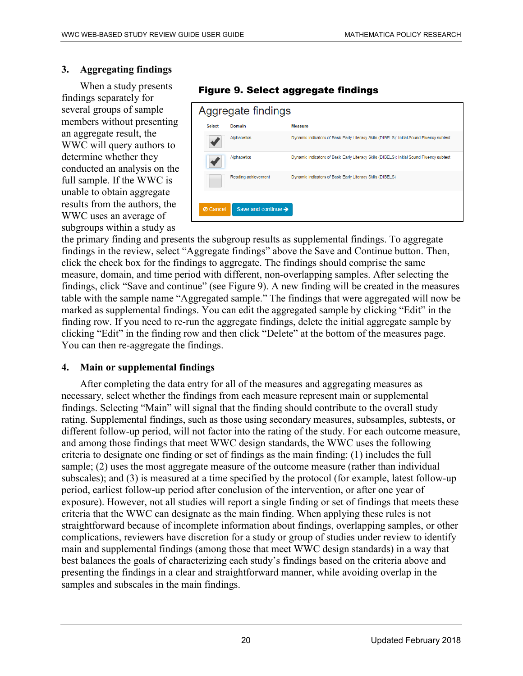## **3. Aggregating findings**

When a study presents findings separately for several groups of sample members without presenting an aggregate result, the WWC will query authors to determine whether they conducted an analysis on the full sample. If the WWC is unable to obtain aggregate results from the authors, the WWC uses an average of subgroups within a study as

|                 | Aggregate findings              |                                                                                           |
|-----------------|---------------------------------|-------------------------------------------------------------------------------------------|
| <b>Select</b>   | Domain                          | <b>Measure</b>                                                                            |
|                 | Alphabetics                     | Dynamic Indicators of Basic Early Literacy Skills (DIBELS): Initial Sound Fluency subtest |
|                 | Alphabetics                     | Dynamic Indicators of Basic Early Literacy Skills (DIBELS): Initial Sound Fluency subtest |
|                 | Reading achievement             | Dynamic Indicators of Basic Early Literacy Skills (DIBELS)                                |
|                 |                                 |                                                                                           |
| <b>Ø</b> Cancel | Save and continue $\rightarrow$ |                                                                                           |

# Figure 9. Select aggregate findings

the primary finding and presents the subgroup results as supplemental findings. To aggregate findings in the review, select "Aggregate findings" above the Save and Continue button. Then, click the check box for the findings to aggregate. The findings should comprise the same measure, domain, and time period with different, non-overlapping samples. After selecting the findings, click "Save and continue" (see Figure 9). A new finding will be created in the measures table with the sample name "Aggregated sample." The findings that were aggregated will now be marked as supplemental findings. You can edit the aggregated sample by clicking "Edit" in the finding row. If you need to re-run the aggregate findings, delete the initial aggregate sample by clicking "Edit" in the finding row and then click "Delete" at the bottom of the measures page. You can then re-aggregate the findings.

#### **4. Main or supplemental findings**

After completing the data entry for all of the measures and aggregating measures as necessary, select whether the findings from each measure represent main or supplemental findings. Selecting "Main" will signal that the finding should contribute to the overall study rating. Supplemental findings, such as those using secondary measures, subsamples, subtests, or different follow-up period, will not factor into the rating of the study. For each outcome measure, and among those findings that meet WWC design standards, the WWC uses the following criteria to designate one finding or set of findings as the main finding: (1) includes the full sample; (2) uses the most aggregate measure of the outcome measure (rather than individual subscales); and (3) is measured at a time specified by the protocol (for example, latest follow-up period, earliest follow-up period after conclusion of the intervention, or after one year of exposure). However, not all studies will report a single finding or set of findings that meets these criteria that the WWC can designate as the main finding. When applying these rules is not straightforward because of incomplete information about findings, overlapping samples, or other complications, reviewers have discretion for a study or group of studies under review to identify main and supplemental findings (among those that meet WWC design standards) in a way that best balances the goals of characterizing each study's findings based on the criteria above and presenting the findings in a clear and straightforward manner, while avoiding overlap in the samples and subscales in the main findings.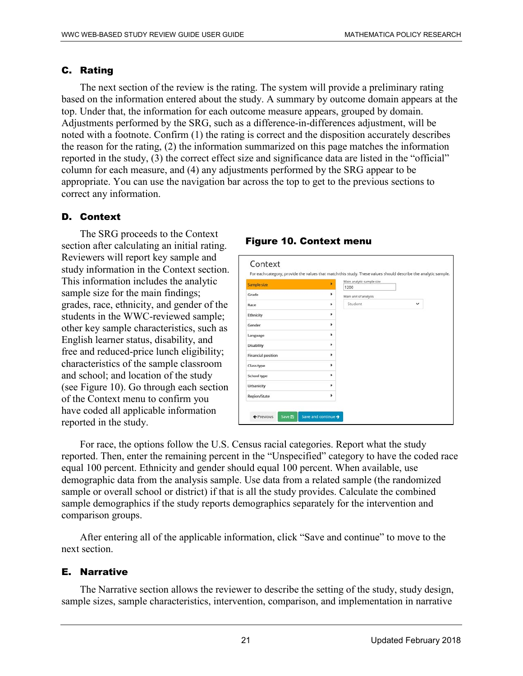#### C. Rating

The next section of the review is the rating. The system will provide a preliminary rating based on the information entered about the study. A summary by outcome domain appears at the top. Under that, the information for each outcome measure appears, grouped by domain. Adjustments performed by the SRG, such as a difference-in-differences adjustment, will be noted with a footnote. Confirm (1) the rating is correct and the disposition accurately describes the reason for the rating, (2) the information summarized on this page matches the information reported in the study, (3) the correct effect size and significance data are listed in the "official" column for each measure, and (4) any adjustments performed by the SRG appear to be appropriate. You can use the navigation bar across the top to get to the previous sections to correct any information.

## D. Context

The SRG proceeds to the Context section after calculating an initial rating. Reviewers will report key sample and study information in the Context section. This information includes the analytic sample size for the main findings; grades, race, ethnicity, and gender of the students in the WWC-reviewed sample; other key sample characteristics, such as English learner status, disability, and free and reduced-price lunch eligibility; characteristics of the sample classroom and school; and location of the study (see Figure 10). Go through each section of the Context menu to confirm you have coded all applicable information reported in the study.

Figure 10. Context menu

| Sample size               | ٠<br>1200 | Main analytic sample size |              |
|---------------------------|-----------|---------------------------|--------------|
| Grade                     | ٠         | Main unit of analysis     |              |
| Race                      | ٠         | Student                   | $\checkmark$ |
| Ethnicity                 | ٠         |                           |              |
| Gender                    | ٠         |                           |              |
| Language                  | ٠         |                           |              |
| Disability                | ٠         |                           |              |
| <b>Financial position</b> | ٠         |                           |              |
| Class type                | ٠         |                           |              |
| School type               | ٠         |                           |              |
| Urbanicity                | ٠         |                           |              |
| <b>Region/State</b>       | ١         |                           |              |

For race, the options follow the U.S. Census racial categories. Report what the study reported. Then, enter the remaining percent in the "Unspecified" category to have the coded race equal 100 percent. Ethnicity and gender should equal 100 percent. When available, use demographic data from the analysis sample. Use data from a related sample (the randomized sample or overall school or district) if that is all the study provides. Calculate the combined sample demographics if the study reports demographics separately for the intervention and comparison groups.

After entering all of the applicable information, click "Save and continue" to move to the next section.

# E. Narrative

The Narrative section allows the reviewer to describe the setting of the study, study design, sample sizes, sample characteristics, intervention, comparison, and implementation in narrative